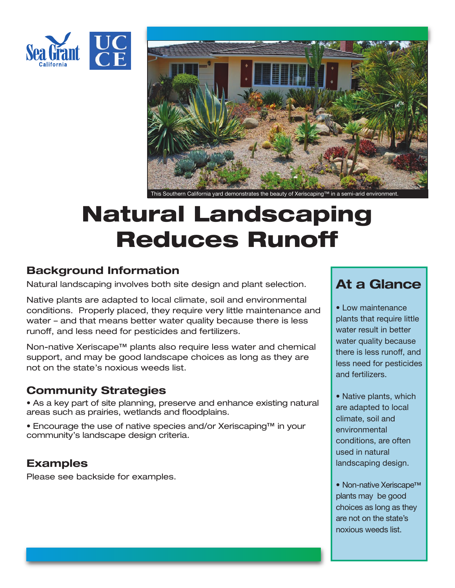



This Southern California yard demonstrates the beauty of Xeriscaping™ in a semi-arid environment

# **Natural Landscaping Reduces Runoff**

#### **Background Information**

Natural landscaping involves both site design and plant selection.

Native plants are adapted to local climate, soil and environmental conditions. Properly placed, they require very little maintenance and water – and that means better water quality because there is less runoff, and less need for pesticides and fertilizers.

Non-native Xeriscape™ plants also require less water and chemical support, and may be good landscape choices as long as they are not on the state's noxious weeds list.

### **Community Strategies**

• As a key part of site planning, preserve and enhance existing natural areas such as prairies, wetlands and floodplains.

• Encourage the use of native species and/or Xeriscaping™ in your community's landscape design criteria.

### **Examples**

Please see backside for examples.

## **At a Glance**

• Low maintenance plants that require little water result in better water quality because there is less runoff, and less need for pesticides and fertilizers.

• Native plants, which are adapted to local climate, soil and environmental conditions, are often used in natural landscaping design.

• Non-native Xeriscape™ plants may be good choices as long as they are not on the state's noxious weeds list.